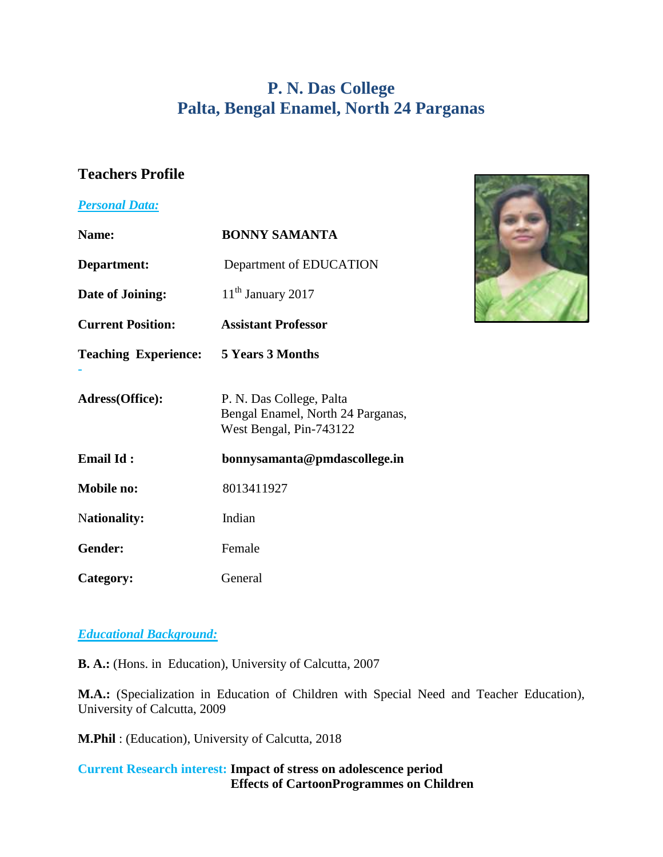# **P. N. Das College Palta, Bengal Enamel, North 24 Parganas**

# **Teachers Profile**

#### *Personal Data:*

| <b>Personal Data:</b>                        |                                                                                          |  |
|----------------------------------------------|------------------------------------------------------------------------------------------|--|
| Name:                                        | <b>BONNY SAMANTA</b>                                                                     |  |
| Department:                                  | Department of EDUCATION                                                                  |  |
| Date of Joining:                             | $11th$ January 2017                                                                      |  |
| <b>Current Position:</b>                     | <b>Assistant Professor</b>                                                               |  |
| <b>Teaching Experience:</b> 5 Years 3 Months |                                                                                          |  |
| Adress(Office):                              | P. N. Das College, Palta<br>Bengal Enamel, North 24 Parganas,<br>West Bengal, Pin-743122 |  |
| <b>Email Id:</b>                             | bonnysamanta@pmdascollege.in                                                             |  |
| <b>Mobile no:</b>                            | 8013411927                                                                               |  |
| <b>Nationality:</b>                          | Indian                                                                                   |  |
| Gender:                                      | Female                                                                                   |  |
| Category:                                    | General                                                                                  |  |

#### *Educational Background:*

**B. A.:** (Hons. in Education), University of Calcutta, 2007

**M.A.:** (Specialization in Education of Children with Special Need and Teacher Education), University of Calcutta, 2009

**M.Phil** : (Education), University of Calcutta, 2018

#### **Current Research interest: Impact of stress on adolescence period Effects of CartoonProgrammes on Children**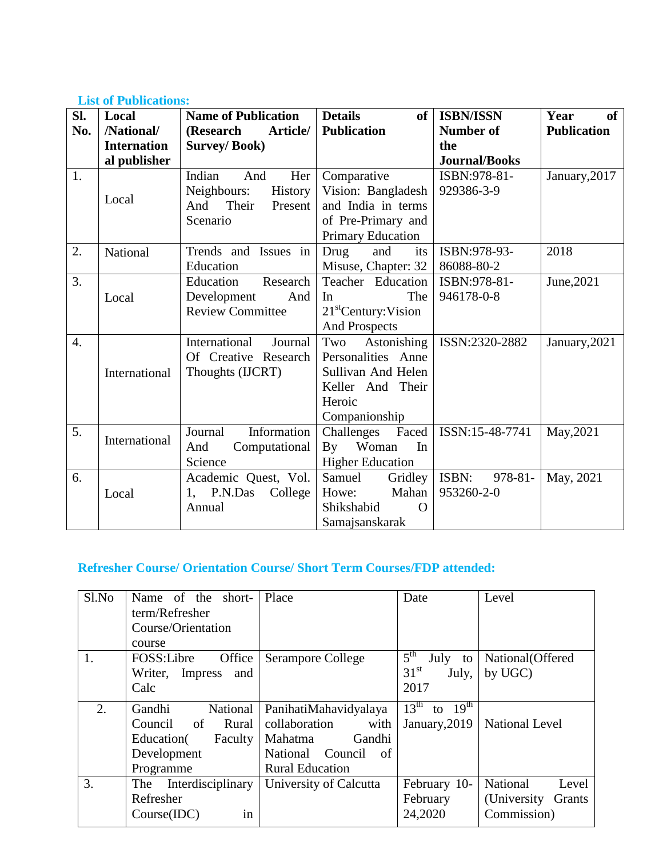### **List of Publications:**

| SI.              | Local              | <b>Name of Publication</b>    | <b>Details</b><br>of                  | <b>ISBN/ISSN</b>     | Year<br><b>of</b>  |
|------------------|--------------------|-------------------------------|---------------------------------------|----------------------|--------------------|
| No.              | /National/         | Article/<br>(Research         | <b>Publication</b>                    | Number of            | <b>Publication</b> |
|                  | <b>Internation</b> | <b>Survey/Book)</b>           |                                       | the                  |                    |
|                  | al publisher       |                               |                                       | <b>Journal/Books</b> |                    |
| 1.               |                    | Indian<br>And<br>Her          | Comparative                           | ISBN:978-81-         | January, 2017      |
|                  |                    | Neighbours:<br><b>History</b> | Vision: Bangladesh                    | 929386-3-9           |                    |
|                  | Local              | Their<br>And<br>Present       | and India in terms                    |                      |                    |
|                  |                    | Scenario                      | of Pre-Primary and                    |                      |                    |
|                  |                    |                               | Primary Education                     |                      |                    |
| 2.               | National           | Trends and Issues in          | Drug<br>and<br>its                    | ISBN:978-93-         | 2018               |
|                  |                    | Education                     | Misuse, Chapter: 32                   | 86088-80-2           |                    |
| 3.               |                    | Education<br>Research         | Teacher Education                     | ISBN:978-81-         | June, 2021         |
|                  | Local              | Development<br>And            | The<br>In                             | 946178-0-8           |                    |
|                  |                    | <b>Review Committee</b>       | 21 <sup>st</sup> Century: Vision      |                      |                    |
|                  |                    |                               | <b>And Prospects</b>                  |                      |                    |
| $\overline{4}$ . |                    | International<br>Journal      | Astonishing<br>Two                    | ISSN:2320-2882       | January, 2021      |
|                  |                    | Of Creative Research          | Personalities Anne                    |                      |                    |
|                  | International      | Thoughts (IJCRT)              | Sullivan And Helen                    |                      |                    |
|                  |                    |                               | Keller And Their                      |                      |                    |
|                  |                    |                               | Heroic                                |                      |                    |
|                  |                    |                               | Companionship                         |                      |                    |
| 5.               | International      | Information<br>Journal        | Challenges<br>Faced                   | ISSN:15-48-7741      | May, 2021          |
|                  |                    | Computational<br>And          | Woman<br>$\mathbf{B}\mathbf{v}$<br>In |                      |                    |
|                  |                    | Science                       | <b>Higher Education</b>               |                      |                    |
| 6.               |                    | Academic Quest, Vol.          | Samuel<br>Gridley                     | ISBN:<br>$978 - 81$  | May, 2021          |
|                  | Local              | P.N.Das<br>College<br>1,      | Howe:<br>Mahan                        | 953260-2-0           |                    |
|                  |                    | Annual                        | Shikshabid<br>O                       |                      |                    |
|                  |                    |                               | Samajsanskarak                        |                      |                    |

## **Refresher Course/ Orientation Course/ Short Term Courses/FDP attended:**

| Sl.No | Name of the short-<br>term/Refresher<br>Course/Orientation                                        | Place                                                                                                                   | Date                                                            | Level                                                      |
|-------|---------------------------------------------------------------------------------------------------|-------------------------------------------------------------------------------------------------------------------------|-----------------------------------------------------------------|------------------------------------------------------------|
| 1.    | course<br>FOSS:Libre<br>Office<br>Writer, Impress<br>and<br>Calc                                  | <b>Serampore College</b>                                                                                                | $5^{\text{th}}$<br>July to<br>31 <sup>st</sup><br>July,<br>2017 | National (Offered<br>by UGC)                               |
| 2.    | Gandhi<br>National<br>of<br>Council<br>Rural<br>Education(<br>Faculty<br>Development<br>Programme | PanihatiMahavidyalaya<br>collaboration<br>with<br>Gandhi<br>Mahatma<br>National Council<br>of<br><b>Rural Education</b> | $13^{\text{th}}$<br>to $19^{\text{th}}$<br>January, 2019        | <b>National Level</b>                                      |
| 3.    | Interdisciplinary<br>The<br>Refresher<br>Course(IDC)<br>in                                        | University of Calcutta                                                                                                  | February 10-<br>February<br>24,2020                             | National<br>Level<br>(University)<br>Grants<br>Commission) |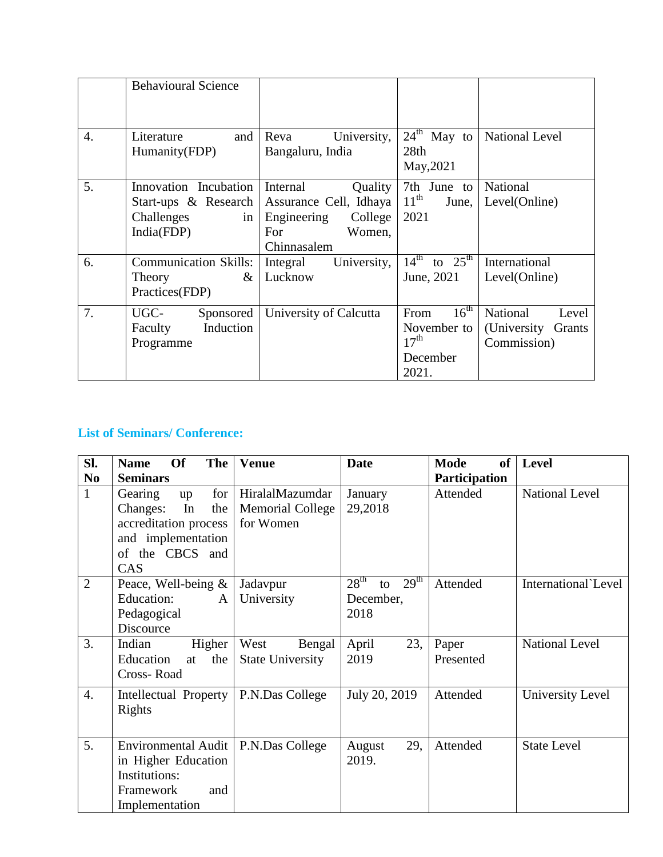|                  | <b>Behavioural Science</b>                                                      |                                                                                                         |                                                                                  |                                                            |
|------------------|---------------------------------------------------------------------------------|---------------------------------------------------------------------------------------------------------|----------------------------------------------------------------------------------|------------------------------------------------------------|
| $\overline{4}$ . | Literature<br>and<br>Humanity(FDP)                                              | Reva<br>University,<br>Bangaluru, India                                                                 | $24th$ May to<br>28th<br>May, 2021                                               | <b>National Level</b>                                      |
| 5.               | Innovation Incubation<br>Start-ups & Research<br>Challenges<br>in<br>India(FDP) | Internal<br>Quality<br>Assurance Cell, Idhaya<br>College<br>Engineering<br>Women,<br>For<br>Chinnasalem | 7th June to<br>$11^{\text{th}}$<br>June,<br>2021                                 | National<br>Level(Online)                                  |
| 6.               | <b>Communication Skills:</b><br>$\&$<br>Theory<br>Practices(FDP)                | University,<br>Integral<br>Lucknow                                                                      | $14^{th}$ to $25^{th}$<br>June, 2021                                             | International<br>Level(Online)                             |
| 7.               | UGC-<br>Sponsored<br>Induction<br>Faculty<br>Programme                          | University of Calcutta                                                                                  | $16^{\text{th}}$<br>From<br>November to<br>17 <sup>th</sup><br>December<br>2021. | National<br>Level<br>(University)<br>Grants<br>Commission) |

## **List of Seminars/ Conference:**

| Sl.              | <b>The</b><br><b>Of</b><br><b>Name</b> | <b>Venue</b>            | Date                                       | <b>Mode</b><br><b>of</b> | <b>Level</b>          |
|------------------|----------------------------------------|-------------------------|--------------------------------------------|--------------------------|-----------------------|
| N <sub>0</sub>   | <b>Seminars</b>                        |                         |                                            | <b>Participation</b>     |                       |
| $\mathbf{1}$     | for<br>Gearing<br>up                   | HiralalMazumdar         | January                                    | Attended                 | National Level        |
|                  | In<br>the<br>Changes:                  | <b>Memorial College</b> | 29,2018                                    |                          |                       |
|                  | accreditation process                  | for Women               |                                            |                          |                       |
|                  | and implementation                     |                         |                                            |                          |                       |
|                  | of the CBCS and                        |                         |                                            |                          |                       |
|                  | CAS                                    |                         |                                            |                          |                       |
| $\overline{2}$   | Peace, Well-being $\&$                 | Jadavpur                | 28 <sup>th</sup><br>29 <sup>th</sup><br>to | Attended                 | International Level   |
|                  | Education:<br>A                        | University              | December,                                  |                          |                       |
|                  | Pedagogical                            |                         | 2018                                       |                          |                       |
|                  | Discource                              |                         |                                            |                          |                       |
| 3.               | Indian<br>Higher                       | West<br>Bengal          | April<br>23,                               | Paper                    | <b>National Level</b> |
|                  | Education<br>the<br>at                 | <b>State University</b> | 2019                                       | Presented                |                       |
|                  | Cross-Road                             |                         |                                            |                          |                       |
| $\overline{4}$ . | Intellectual Property                  | P.N.Das College         | July 20, 2019                              | Attended                 | University Level      |
|                  | Rights                                 |                         |                                            |                          |                       |
|                  |                                        |                         |                                            |                          |                       |
| 5.               | <b>Environmental Audit</b>             | P.N.Das College         | 29,<br>August                              | Attended                 | <b>State Level</b>    |
|                  | in Higher Education                    |                         | 2019.                                      |                          |                       |
|                  | Institutions:                          |                         |                                            |                          |                       |
|                  | Framework<br>and                       |                         |                                            |                          |                       |
|                  | Implementation                         |                         |                                            |                          |                       |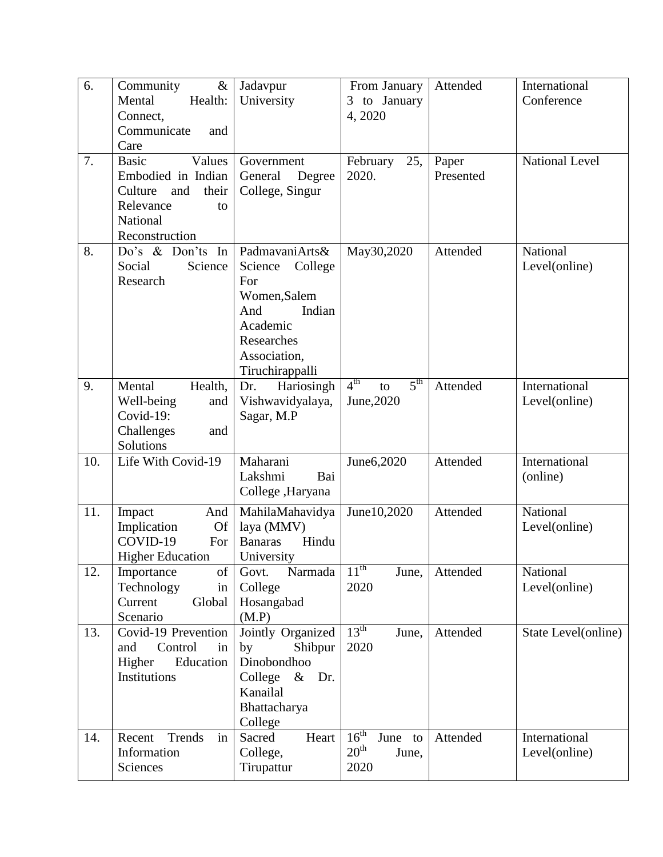| 6.<br>7. | $\&$<br>Community<br>Mental<br>Health:<br>Connect,<br>Communicate<br>and<br>Care<br><b>Basic</b><br>Values<br>Embodied in Indian<br>Culture<br>and<br>their<br>Relevance<br>to<br>National | Jadavpur<br>University<br>Government<br>Degree<br>General<br>College, Singur                                                              | From January<br>to January<br>3<br>4,2020<br>February<br>25,<br>2020. | Attended<br>Paper<br>Presented | International<br>Conference<br><b>National Level</b> |
|----------|--------------------------------------------------------------------------------------------------------------------------------------------------------------------------------------------|-------------------------------------------------------------------------------------------------------------------------------------------|-----------------------------------------------------------------------|--------------------------------|------------------------------------------------------|
|          | Reconstruction                                                                                                                                                                             |                                                                                                                                           |                                                                       |                                |                                                      |
| 8.       | Do's & Don'ts<br>In<br>Science<br>Social<br>Research                                                                                                                                       | PadmavaniArts&<br>Science<br>College<br>For<br>Women, Salem<br>Indian<br>And<br>Academic<br>Researches<br>Association,<br>Tiruchirappalli | May30,2020                                                            | Attended                       | National<br>Level(online)                            |
| 9.       | Mental<br>Health,<br>Well-being<br>and<br>Covid-19:<br>Challenges<br>and<br>Solutions                                                                                                      | Hariosingh<br>Dr.<br>Vishwavidyalaya,<br>Sagar, M.P                                                                                       | 4 <sup>th</sup><br>5 <sup>th</sup><br>to<br>June, 2020                | Attended                       | International<br>Level(online)                       |
| 10.      | Life With Covid-19                                                                                                                                                                         | Maharani<br>Lakshmi<br>Bai<br>College ,Haryana                                                                                            | June6,2020                                                            | Attended                       | International<br>(online)                            |
| 11.      | Impact<br>And<br>Implication<br><b>Of</b><br>COVID-19<br>For<br><b>Higher Education</b>                                                                                                    | MahilaMahavidya<br>laya (MMV)<br><b>Banaras</b><br>Hindu<br>University                                                                    | June 10,2020                                                          | Attended                       | National<br>Level(online)                            |
| 12.      | Importance<br>of<br>Technology<br>in<br>Current<br>Global<br>Scenario                                                                                                                      | Narmada<br>Govt.<br>College<br>Hosangabad<br>(M.P)                                                                                        | $11^{\text{th}}$<br>June,<br>2020                                     | Attended                       | National<br>Level(online)                            |
| 13.      | Covid-19 Prevention<br>Control<br>and<br>in<br>Higher<br>Education<br>Institutions                                                                                                         | Jointly Organized<br>Shibpur<br>by<br>Dinobondhoo<br>College<br>$\&$<br>Dr.<br>Kanailal<br>Bhattacharya<br>College                        | 13 <sup>th</sup><br>June,<br>2020                                     | Attended                       | State Level(online)                                  |
| 14.      | Trends<br>Recent<br>in<br>Information<br>Sciences                                                                                                                                          | Sacred<br>Heart<br>College,<br>Tirupattur                                                                                                 | 16 <sup>th</sup><br>June to<br>$20^{\text{th}}$<br>June,<br>2020      | Attended                       | International<br>Level(online)                       |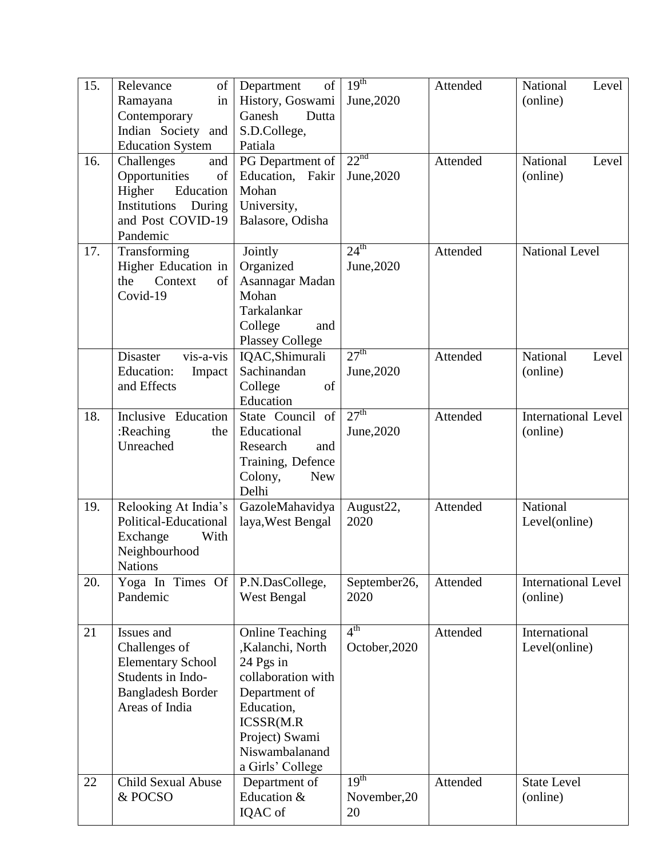| 15. | of<br>Relevance<br>Ramayana<br>in<br>Contemporary                                                                          | Department<br>of<br>History, Goswami<br>Dutta<br>Ganesh                                                                                                                           | 19 <sup>th</sup><br>June, 2020         | Attended | National<br>Level<br>(online)          |
|-----|----------------------------------------------------------------------------------------------------------------------------|-----------------------------------------------------------------------------------------------------------------------------------------------------------------------------------|----------------------------------------|----------|----------------------------------------|
|     | Indian Society and<br><b>Education System</b>                                                                              | S.D.College,<br>Patiala                                                                                                                                                           |                                        |          |                                        |
| 16. | Challenges<br>and<br>Opportunities<br>of<br>Education<br>Higher<br>Institutions<br>During<br>and Post COVID-19<br>Pandemic | PG Department of<br>Education, Fakir<br>Mohan<br>University,<br>Balasore, Odisha                                                                                                  | 22 <sup>nd</sup><br>June, 2020         | Attended | National<br>Level<br>(online)          |
| 17. | Transforming<br>Higher Education in<br>the<br>Context<br>of<br>Covid-19                                                    | Jointly<br>Organized<br>Asannagar Madan<br>Mohan<br>Tarkalankar<br>College<br>and<br><b>Plassey College</b>                                                                       | 24 <sup>th</sup><br>June, 2020         | Attended | <b>National Level</b>                  |
|     | vis-a-vis<br>Disaster<br><b>Education:</b><br>Impact<br>and Effects                                                        | IQAC, Shimurali<br>Sachinandan<br>College<br>of<br>Education                                                                                                                      | 27 <sup>th</sup><br>June, 2020         | Attended | National<br>Level<br>(online)          |
| 18. | Inclusive Education<br>:Reaching<br>the<br>Unreached                                                                       | State Council of<br>Educational<br>Research<br>and<br>Training, Defence<br>Colony,<br><b>New</b><br>Delhi                                                                         | 27 <sup>th</sup><br>June, 2020         | Attended | <b>International Level</b><br>(online) |
| 19. | Relooking At India's<br>Political-Educational<br>Exchange<br>With<br>Neighbourhood<br><b>Nations</b>                       | GazoleMahavidya<br>laya, West Bengal                                                                                                                                              | August22,<br>2020                      | Attended | National<br>Level(online)              |
| 20. | Yoga In Times Of<br>Pandemic                                                                                               | P.N.DasCollege,<br>West Bengal                                                                                                                                                    | September26,<br>2020                   | Attended | <b>International Level</b><br>(online) |
| 21  | Issues and<br>Challenges of<br><b>Elementary School</b><br>Students in Indo-<br><b>Bangladesh Border</b><br>Areas of India | <b>Online Teaching</b><br>,Kalanchi, North<br>24 Pgs in<br>collaboration with<br>Department of<br>Education,<br>ICSSR(M.R<br>Project) Swami<br>Niswambalanand<br>a Girls' College | 4 <sup>th</sup><br>October, 2020       | Attended | International<br>Level(online)         |
| 22  | Child Sexual Abuse<br>& POCSO                                                                                              | Department of<br>Education &<br>IQAC of                                                                                                                                           | 19 <sup>th</sup><br>November, 20<br>20 | Attended | <b>State Level</b><br>(online)         |